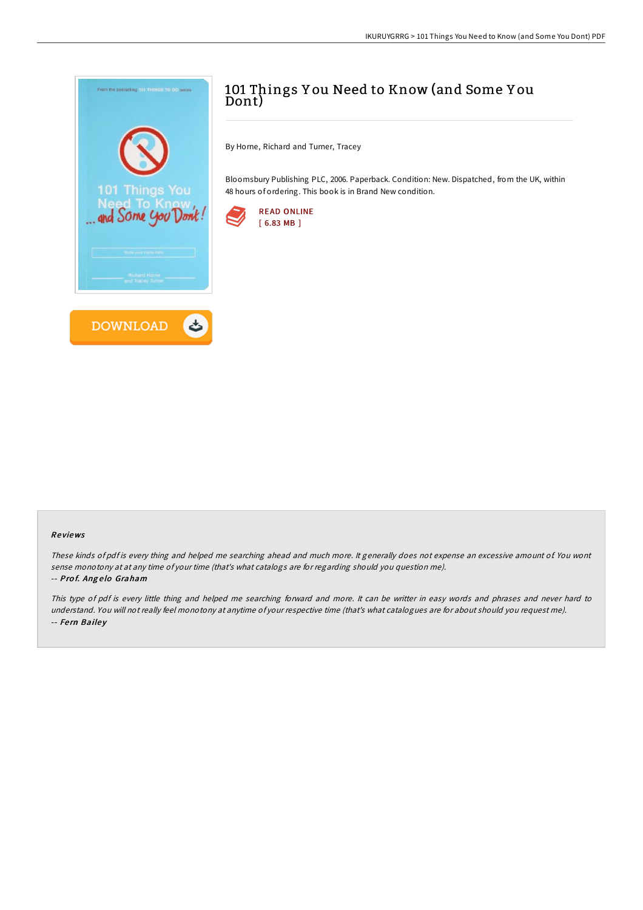

# 101 Things Y ou Need to Know (and Some Y ou Dont)

By Horne, Richard and Turner, Tracey

Bloomsbury Publishing PLC, 2006. Paperback. Condition: New. Dispatched, from the UK, within 48 hours of ordering. This book is in Brand New condition.



## Re views

These kinds of pdf is every thing and helped me searching ahead and much more. It generally does not expense an excessive amount of. You wont sense monotony at at any time of your time (that's what catalogs are for regarding should you question me).

### -- Prof. Angelo Graham

This type of pdf is every little thing and helped me searching forward and more. It can be writter in easy words and phrases and never hard to understand. You will not really feel monotony at anytime of your respective time (that's what catalogues are for about should you request me). -- Fern Bailey